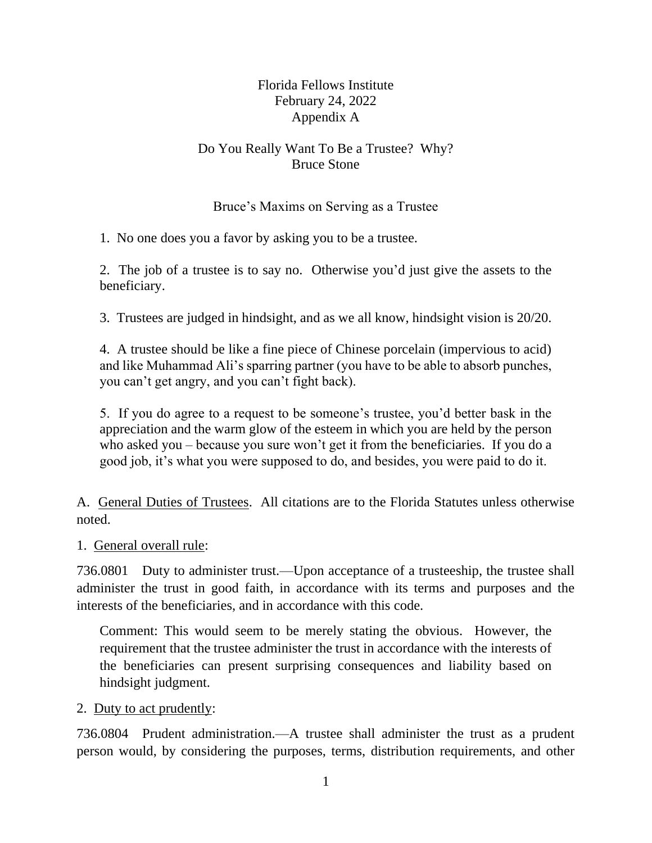# Florida Fellows Institute February 24, 2022 Appendix A

### Do You Really Want To Be a Trustee? Why? Bruce Stone

# Bruce's Maxims on Serving as a Trustee

1. No one does you a favor by asking you to be a trustee.

2. The job of a trustee is to say no. Otherwise you'd just give the assets to the beneficiary.

3. Trustees are judged in hindsight, and as we all know, hindsight vision is 20/20.

4. A trustee should be like a fine piece of Chinese porcelain (impervious to acid) and like Muhammad Ali's sparring partner (you have to be able to absorb punches, you can't get angry, and you can't fight back).

5. If you do agree to a request to be someone's trustee, you'd better bask in the appreciation and the warm glow of the esteem in which you are held by the person who asked you – because you sure won't get it from the beneficiaries. If you do a good job, it's what you were supposed to do, and besides, you were paid to do it.

A. General Duties of Trustees. All citations are to the Florida Statutes unless otherwise noted.

### 1. General overall rule:

736.0801 Duty to administer trust.—Upon acceptance of a trusteeship, the trustee shall administer the trust in good faith, in accordance with its terms and purposes and the interests of the beneficiaries, and in accordance with this code.

Comment: This would seem to be merely stating the obvious. However, the requirement that the trustee administer the trust in accordance with the interests of the beneficiaries can present surprising consequences and liability based on hindsight judgment.

2. Duty to act prudently:

736.0804 Prudent administration.—A trustee shall administer the trust as a prudent person would, by considering the purposes, terms, distribution requirements, and other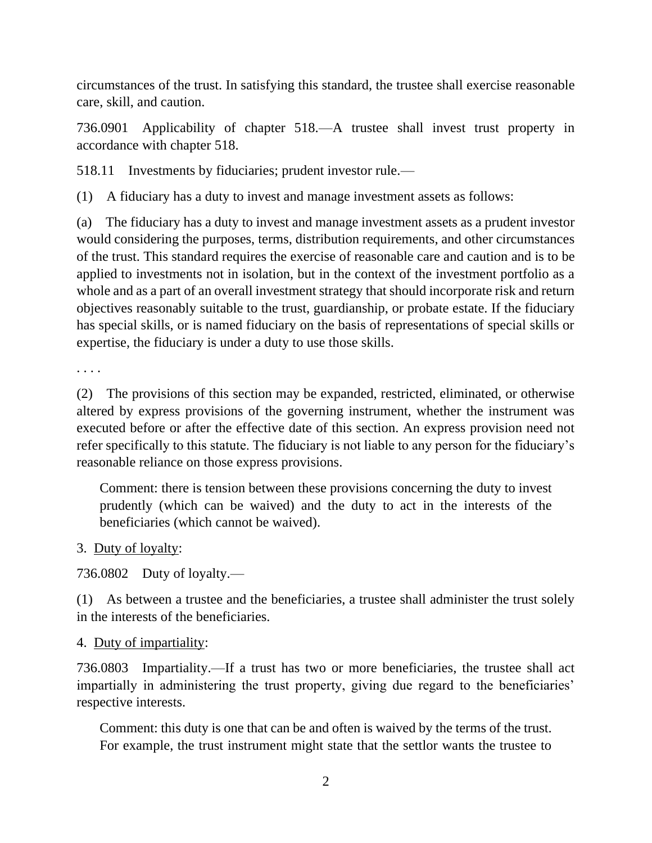circumstances of the trust. In satisfying this standard, the trustee shall exercise reasonable care, skill, and caution.

736.0901 Applicability of chapter 518.—A trustee shall invest trust property in accordance with chapter 518.

518.11 Investments by fiduciaries; prudent investor rule.—

(1) A fiduciary has a duty to invest and manage investment assets as follows:

(a) The fiduciary has a duty to invest and manage investment assets as a prudent investor would considering the purposes, terms, distribution requirements, and other circumstances of the trust. This standard requires the exercise of reasonable care and caution and is to be applied to investments not in isolation, but in the context of the investment portfolio as a whole and as a part of an overall investment strategy that should incorporate risk and return objectives reasonably suitable to the trust, guardianship, or probate estate. If the fiduciary has special skills, or is named fiduciary on the basis of representations of special skills or expertise, the fiduciary is under a duty to use those skills.

. . . .

(2) The provisions of this section may be expanded, restricted, eliminated, or otherwise altered by express provisions of the governing instrument, whether the instrument was executed before or after the effective date of this section. An express provision need not refer specifically to this statute. The fiduciary is not liable to any person for the fiduciary's reasonable reliance on those express provisions.

Comment: there is tension between these provisions concerning the duty to invest prudently (which can be waived) and the duty to act in the interests of the beneficiaries (which cannot be waived).

3. Duty of loyalty:

736.0802 Duty of loyalty.—

(1) As between a trustee and the beneficiaries, a trustee shall administer the trust solely in the interests of the beneficiaries.

# 4. Duty of impartiality:

736.0803 Impartiality.—If a trust has two or more beneficiaries, the trustee shall act impartially in administering the trust property, giving due regard to the beneficiaries' respective interests.

Comment: this duty is one that can be and often is waived by the terms of the trust. For example, the trust instrument might state that the settlor wants the trustee to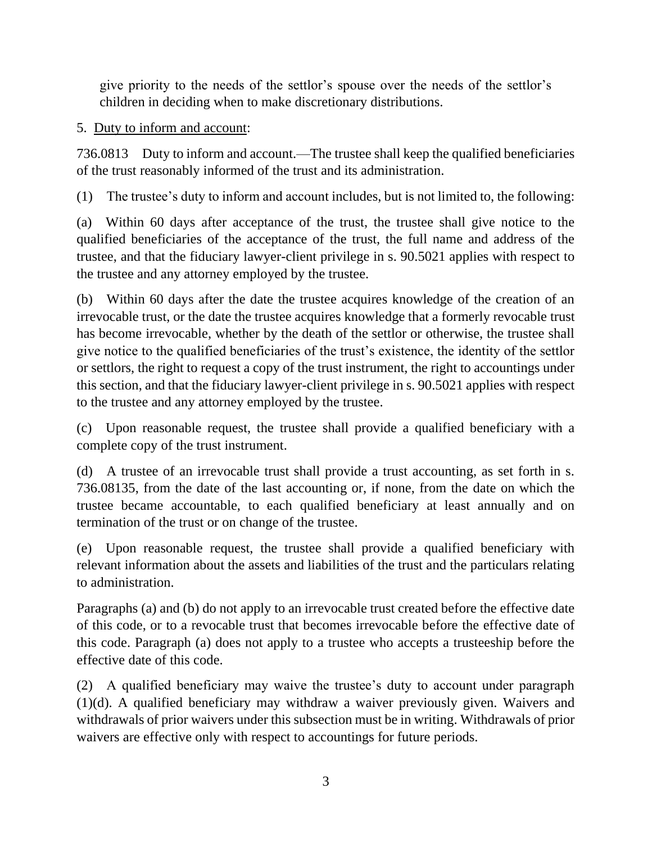give priority to the needs of the settlor's spouse over the needs of the settlor's children in deciding when to make discretionary distributions.

# 5. Duty to inform and account:

736.0813 Duty to inform and account.—The trustee shall keep the qualified beneficiaries of the trust reasonably informed of the trust and its administration.

(1) The trustee's duty to inform and account includes, but is not limited to, the following:

(a) Within 60 days after acceptance of the trust, the trustee shall give notice to the qualified beneficiaries of the acceptance of the trust, the full name and address of the trustee, and that the fiduciary lawyer-client privilege in s. 90.5021 applies with respect to the trustee and any attorney employed by the trustee.

(b) Within 60 days after the date the trustee acquires knowledge of the creation of an irrevocable trust, or the date the trustee acquires knowledge that a formerly revocable trust has become irrevocable, whether by the death of the settlor or otherwise, the trustee shall give notice to the qualified beneficiaries of the trust's existence, the identity of the settlor or settlors, the right to request a copy of the trust instrument, the right to accountings under this section, and that the fiduciary lawyer-client privilege in s. 90.5021 applies with respect to the trustee and any attorney employed by the trustee.

(c) Upon reasonable request, the trustee shall provide a qualified beneficiary with a complete copy of the trust instrument.

(d) A trustee of an irrevocable trust shall provide a trust accounting, as set forth in s. 736.08135, from the date of the last accounting or, if none, from the date on which the trustee became accountable, to each qualified beneficiary at least annually and on termination of the trust or on change of the trustee.

(e) Upon reasonable request, the trustee shall provide a qualified beneficiary with relevant information about the assets and liabilities of the trust and the particulars relating to administration.

Paragraphs (a) and (b) do not apply to an irrevocable trust created before the effective date of this code, or to a revocable trust that becomes irrevocable before the effective date of this code. Paragraph (a) does not apply to a trustee who accepts a trusteeship before the effective date of this code.

(2) A qualified beneficiary may waive the trustee's duty to account under paragraph (1)(d). A qualified beneficiary may withdraw a waiver previously given. Waivers and withdrawals of prior waivers under this subsection must be in writing. Withdrawals of prior waivers are effective only with respect to accountings for future periods.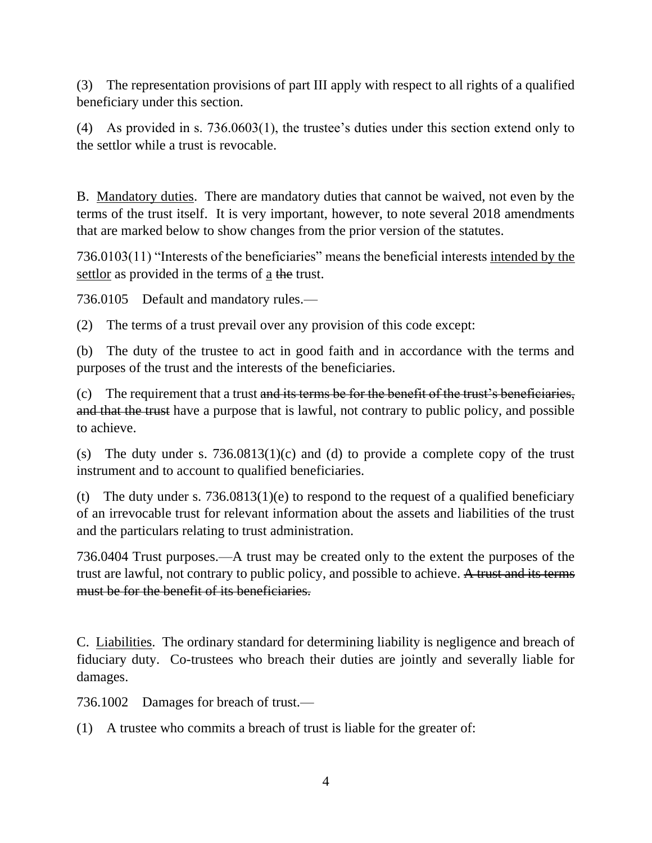(3) The representation provisions of part III apply with respect to all rights of a qualified beneficiary under this section.

(4) As provided in s. 736.0603(1), the trustee's duties under this section extend only to the settlor while a trust is revocable.

B. Mandatory duties. There are mandatory duties that cannot be waived, not even by the terms of the trust itself. It is very important, however, to note several 2018 amendments that are marked below to show changes from the prior version of the statutes.

736.0103(11) "Interests of the beneficiaries" means the beneficial interests intended by the settlor as provided in the terms of  $\alpha$  the trust.

736.0105 Default and mandatory rules.—

(2) The terms of a trust prevail over any provision of this code except:

(b) The duty of the trustee to act in good faith and in accordance with the terms and purposes of the trust and the interests of the beneficiaries.

(c) The requirement that a trust and its terms be for the benefit of the trust's beneficiaries, and that the trust have a purpose that is lawful, not contrary to public policy, and possible to achieve.

(s) The duty under s.  $736.0813(1)(c)$  and (d) to provide a complete copy of the trust instrument and to account to qualified beneficiaries.

(t) The duty under s.  $736.0813(1)$ (e) to respond to the request of a qualified beneficiary of an irrevocable trust for relevant information about the assets and liabilities of the trust and the particulars relating to trust administration.

736.0404 Trust purposes.—A trust may be created only to the extent the purposes of the trust are lawful, not contrary to public policy, and possible to achieve. A trust and its terms must be for the benefit of its beneficiaries.

C. Liabilities. The ordinary standard for determining liability is negligence and breach of fiduciary duty. Co-trustees who breach their duties are jointly and severally liable for damages.

736.1002 Damages for breach of trust.—

(1) A trustee who commits a breach of trust is liable for the greater of: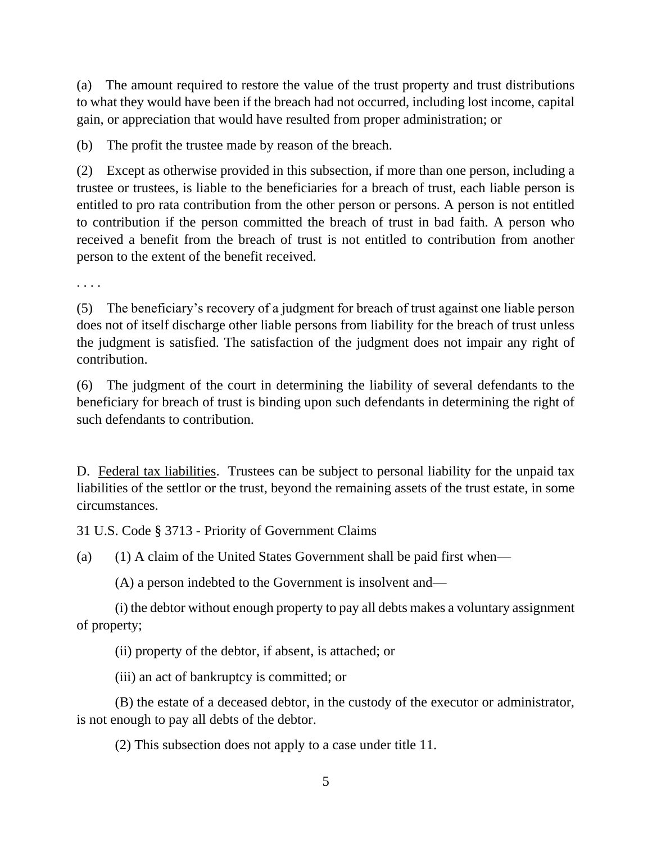(a) The amount required to restore the value of the trust property and trust distributions to what they would have been if the breach had not occurred, including lost income, capital gain, or appreciation that would have resulted from proper administration; or

(b) The profit the trustee made by reason of the breach.

(2) Except as otherwise provided in this subsection, if more than one person, including a trustee or trustees, is liable to the beneficiaries for a breach of trust, each liable person is entitled to pro rata contribution from the other person or persons. A person is not entitled to contribution if the person committed the breach of trust in bad faith. A person who received a benefit from the breach of trust is not entitled to contribution from another person to the extent of the benefit received.

. . . .

(5) The beneficiary's recovery of a judgment for breach of trust against one liable person does not of itself discharge other liable persons from liability for the breach of trust unless the judgment is satisfied. The satisfaction of the judgment does not impair any right of contribution.

(6) The judgment of the court in determining the liability of several defendants to the beneficiary for breach of trust is binding upon such defendants in determining the right of such defendants to contribution.

D. Federal tax liabilities. Trustees can be subject to personal liability for the unpaid tax liabilities of the settlor or the trust, beyond the remaining assets of the trust estate, in some circumstances.

31 U.S. Code § 3713 - Priority of Government Claims

(a) (1) A claim of the United States Government shall be paid first when—

(A) a person indebted to the Government is insolvent and—

(i) the debtor without enough property to pay all debts makes a voluntary assignment of property;

(ii) property of the debtor, if absent, is attached; or

(iii) an act of bankruptcy is committed; or

(B) the estate of a deceased debtor, in the custody of the executor or administrator, is not enough to pay all debts of the debtor.

(2) This subsection does not apply to a case under title 11.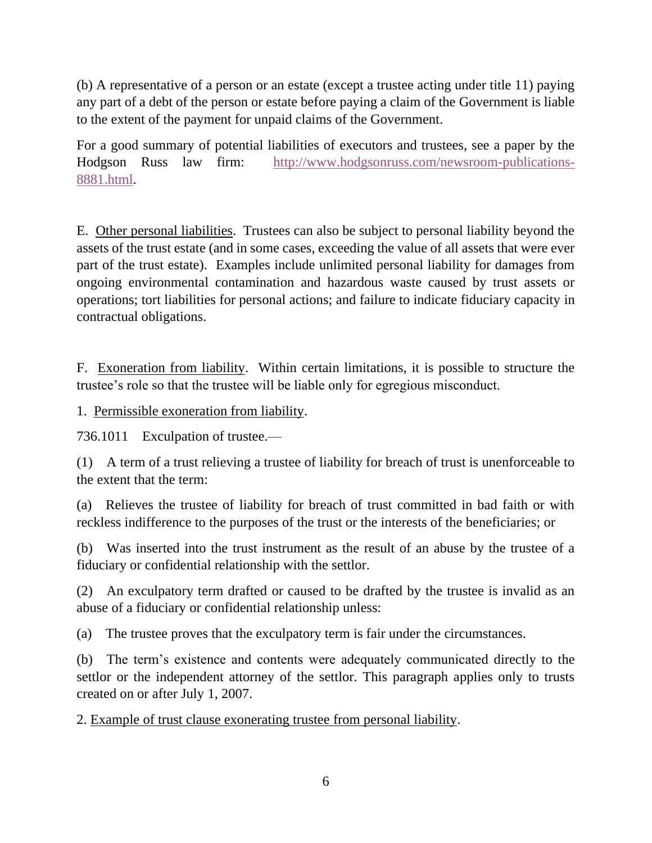(b) A representative of a person or an estate (except a trustee acting under title 11) paying any part of a debt of the person or estate before paying a claim of the Government is liable to the extent of the payment for unpaid claims of the Government.

For a good summary of potential liabilities of executors and trustees, see a paper by the Hodgson Russ law firm: [http://www.hodgsonruss.com/newsroom-publications-](http://www.hodgsonruss.com/newsroom-publications-8881.html)[8881.html.](http://www.hodgsonruss.com/newsroom-publications-8881.html)

E. Other personal liabilities. Trustees can also be subject to personal liability beyond the assets of the trust estate (and in some cases, exceeding the value of all assets that were ever part of the trust estate). Examples include unlimited personal liability for damages from ongoing environmental contamination and hazardous waste caused by trust assets or operations; tort liabilities for personal actions; and failure to indicate fiduciary capacity in contractual obligations.

F. Exoneration from liability. Within certain limitations, it is possible to structure the trustee's role so that the trustee will be liable only for egregious misconduct.

1. Permissible exoneration from liability.

736.1011 Exculpation of trustee.—

(1) A term of a trust relieving a trustee of liability for breach of trust is unenforceable to the extent that the term:

(a) Relieves the trustee of liability for breach of trust committed in bad faith or with reckless indifference to the purposes of the trust or the interests of the beneficiaries; or

(b) Was inserted into the trust instrument as the result of an abuse by the trustee of a fiduciary or confidential relationship with the settlor.

(2) An exculpatory term drafted or caused to be drafted by the trustee is invalid as an abuse of a fiduciary or confidential relationship unless:

(a) The trustee proves that the exculpatory term is fair under the circumstances.

(b) The term's existence and contents were adequately communicated directly to the settlor or the independent attorney of the settlor. This paragraph applies only to trusts created on or after July 1, 2007.

2. Example of trust clause exonerating trustee from personal liability.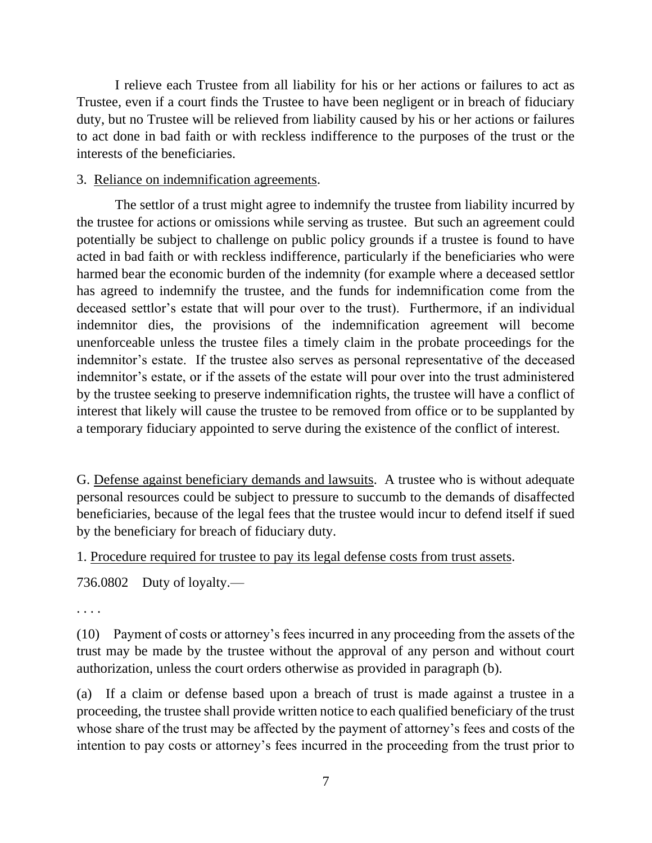I relieve each Trustee from all liability for his or her actions or failures to act as Trustee, even if a court finds the Trustee to have been negligent or in breach of fiduciary duty, but no Trustee will be relieved from liability caused by his or her actions or failures to act done in bad faith or with reckless indifference to the purposes of the trust or the interests of the beneficiaries.

### 3. Reliance on indemnification agreements.

The settlor of a trust might agree to indemnify the trustee from liability incurred by the trustee for actions or omissions while serving as trustee. But such an agreement could potentially be subject to challenge on public policy grounds if a trustee is found to have acted in bad faith or with reckless indifference, particularly if the beneficiaries who were harmed bear the economic burden of the indemnity (for example where a deceased settlor has agreed to indemnify the trustee, and the funds for indemnification come from the deceased settlor's estate that will pour over to the trust). Furthermore, if an individual indemnitor dies, the provisions of the indemnification agreement will become unenforceable unless the trustee files a timely claim in the probate proceedings for the indemnitor's estate. If the trustee also serves as personal representative of the deceased indemnitor's estate, or if the assets of the estate will pour over into the trust administered by the trustee seeking to preserve indemnification rights, the trustee will have a conflict of interest that likely will cause the trustee to be removed from office or to be supplanted by a temporary fiduciary appointed to serve during the existence of the conflict of interest.

G. Defense against beneficiary demands and lawsuits. A trustee who is without adequate personal resources could be subject to pressure to succumb to the demands of disaffected beneficiaries, because of the legal fees that the trustee would incur to defend itself if sued by the beneficiary for breach of fiduciary duty.

1. Procedure required for trustee to pay its legal defense costs from trust assets.

736.0802 Duty of loyalty.—

. . . .

(10) Payment of costs or attorney's fees incurred in any proceeding from the assets of the trust may be made by the trustee without the approval of any person and without court authorization, unless the court orders otherwise as provided in paragraph (b).

(a) If a claim or defense based upon a breach of trust is made against a trustee in a proceeding, the trustee shall provide written notice to each qualified beneficiary of the trust whose share of the trust may be affected by the payment of attorney's fees and costs of the intention to pay costs or attorney's fees incurred in the proceeding from the trust prior to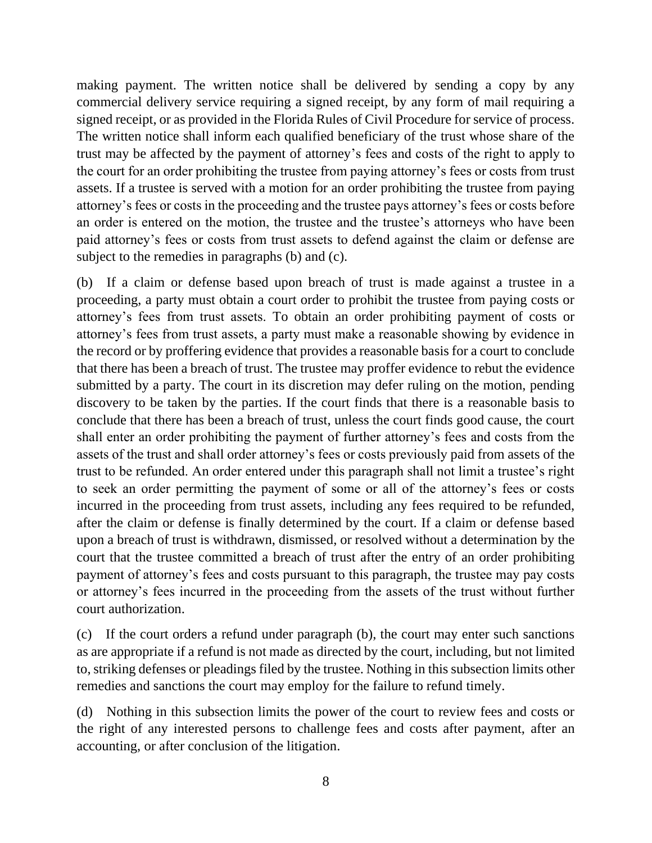making payment. The written notice shall be delivered by sending a copy by any commercial delivery service requiring a signed receipt, by any form of mail requiring a signed receipt, or as provided in the Florida Rules of Civil Procedure for service of process. The written notice shall inform each qualified beneficiary of the trust whose share of the trust may be affected by the payment of attorney's fees and costs of the right to apply to the court for an order prohibiting the trustee from paying attorney's fees or costs from trust assets. If a trustee is served with a motion for an order prohibiting the trustee from paying attorney's fees or costs in the proceeding and the trustee pays attorney's fees or costs before an order is entered on the motion, the trustee and the trustee's attorneys who have been paid attorney's fees or costs from trust assets to defend against the claim or defense are subject to the remedies in paragraphs (b) and (c).

(b) If a claim or defense based upon breach of trust is made against a trustee in a proceeding, a party must obtain a court order to prohibit the trustee from paying costs or attorney's fees from trust assets. To obtain an order prohibiting payment of costs or attorney's fees from trust assets, a party must make a reasonable showing by evidence in the record or by proffering evidence that provides a reasonable basis for a court to conclude that there has been a breach of trust. The trustee may proffer evidence to rebut the evidence submitted by a party. The court in its discretion may defer ruling on the motion, pending discovery to be taken by the parties. If the court finds that there is a reasonable basis to conclude that there has been a breach of trust, unless the court finds good cause, the court shall enter an order prohibiting the payment of further attorney's fees and costs from the assets of the trust and shall order attorney's fees or costs previously paid from assets of the trust to be refunded. An order entered under this paragraph shall not limit a trustee's right to seek an order permitting the payment of some or all of the attorney's fees or costs incurred in the proceeding from trust assets, including any fees required to be refunded, after the claim or defense is finally determined by the court. If a claim or defense based upon a breach of trust is withdrawn, dismissed, or resolved without a determination by the court that the trustee committed a breach of trust after the entry of an order prohibiting payment of attorney's fees and costs pursuant to this paragraph, the trustee may pay costs or attorney's fees incurred in the proceeding from the assets of the trust without further court authorization.

(c) If the court orders a refund under paragraph (b), the court may enter such sanctions as are appropriate if a refund is not made as directed by the court, including, but not limited to, striking defenses or pleadings filed by the trustee. Nothing in this subsection limits other remedies and sanctions the court may employ for the failure to refund timely.

(d) Nothing in this subsection limits the power of the court to review fees and costs or the right of any interested persons to challenge fees and costs after payment, after an accounting, or after conclusion of the litigation.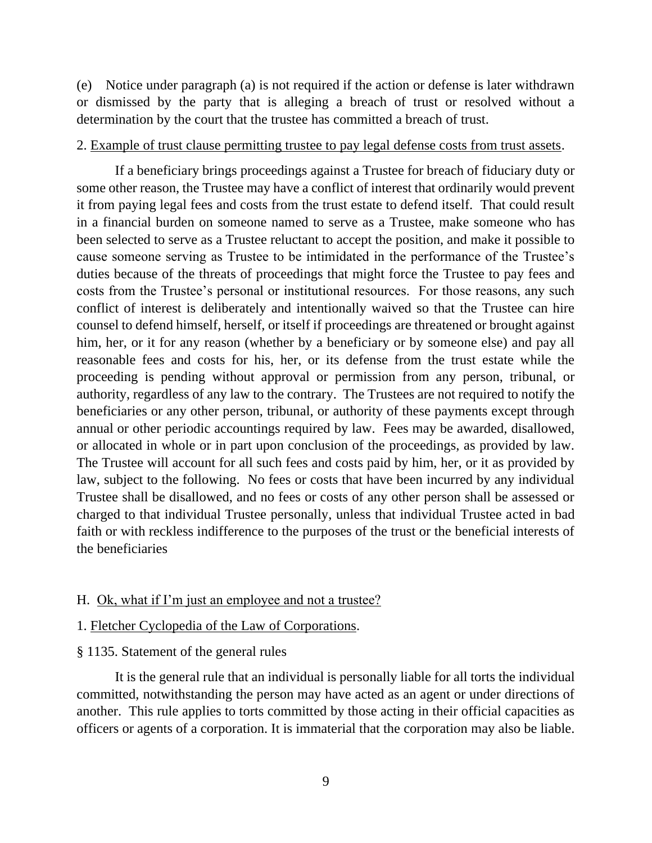(e) Notice under paragraph (a) is not required if the action or defense is later withdrawn or dismissed by the party that is alleging a breach of trust or resolved without a determination by the court that the trustee has committed a breach of trust.

#### 2. Example of trust clause permitting trustee to pay legal defense costs from trust assets.

If a beneficiary brings proceedings against a Trustee for breach of fiduciary duty or some other reason, the Trustee may have a conflict of interest that ordinarily would prevent it from paying legal fees and costs from the trust estate to defend itself. That could result in a financial burden on someone named to serve as a Trustee, make someone who has been selected to serve as a Trustee reluctant to accept the position, and make it possible to cause someone serving as Trustee to be intimidated in the performance of the Trustee's duties because of the threats of proceedings that might force the Trustee to pay fees and costs from the Trustee's personal or institutional resources. For those reasons, any such conflict of interest is deliberately and intentionally waived so that the Trustee can hire counsel to defend himself, herself, or itself if proceedings are threatened or brought against him, her, or it for any reason (whether by a beneficiary or by someone else) and pay all reasonable fees and costs for his, her, or its defense from the trust estate while the proceeding is pending without approval or permission from any person, tribunal, or authority, regardless of any law to the contrary. The Trustees are not required to notify the beneficiaries or any other person, tribunal, or authority of these payments except through annual or other periodic accountings required by law. Fees may be awarded, disallowed, or allocated in whole or in part upon conclusion of the proceedings, as provided by law. The Trustee will account for all such fees and costs paid by him, her, or it as provided by law, subject to the following. No fees or costs that have been incurred by any individual Trustee shall be disallowed, and no fees or costs of any other person shall be assessed or charged to that individual Trustee personally, unless that individual Trustee acted in bad faith or with reckless indifference to the purposes of the trust or the beneficial interests of the beneficiaries

#### H. Ok, what if I'm just an employee and not a trustee?

#### 1. Fletcher Cyclopedia of the Law of Corporations.

#### § 1135. Statement of the general rules

It is the general rule that an individual is personally liable for all torts the individual committed, notwithstanding the person may have acted as an agent or under directions of another. This rule applies to torts committed by those acting in their official capacities as officers or agents of a corporation. It is immaterial that the corporation may also be liable.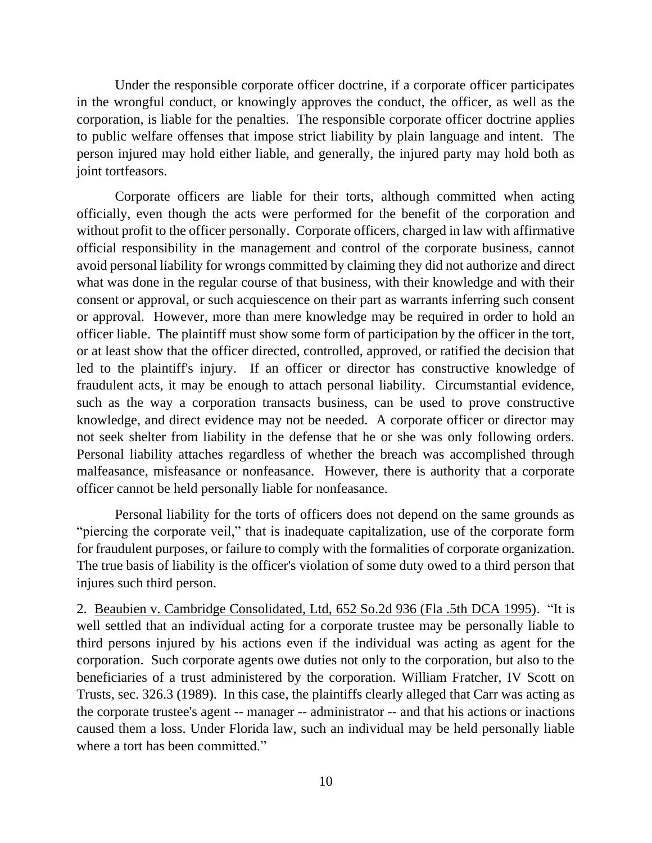Under the responsible corporate officer doctrine, if a corporate officer participates in the wrongful conduct, or knowingly approves the conduct, the officer, as well as the corporation, is liable for the penalties. The responsible corporate officer doctrine applies to public welfare offenses that impose strict liability by plain language and intent. The person injured may hold either liable, and generally, the injured party may hold both as joint tortfeasors.

Corporate officers are liable for their torts, although committed when acting officially, even though the acts were performed for the benefit of the corporation and without profit to the officer personally. Corporate officers, charged in law with affirmative official responsibility in the management and control of the corporate business, cannot avoid personal liability for wrongs committed by claiming they did not authorize and direct what was done in the regular course of that business, with their knowledge and with their consent or approval, or such acquiescence on their part as warrants inferring such consent or approval. However, more than mere knowledge may be required in order to hold an officer liable. The plaintiff must show some form of participation by the officer in the tort, or at least show that the officer directed, controlled, approved, or ratified the decision that led to the plaintiff's injury. If an officer or director has constructive knowledge of fraudulent acts, it may be enough to attach personal liability. Circumstantial evidence, such as the way a corporation transacts business, can be used to prove constructive knowledge, and direct evidence may not be needed. A corporate officer or director may not seek shelter from liability in the defense that he or she was only following orders. Personal liability attaches regardless of whether the breach was accomplished through malfeasance, misfeasance or nonfeasance. However, there is authority that a corporate officer cannot be held personally liable for nonfeasance.

Personal liability for the torts of officers does not depend on the same grounds as "piercing the corporate veil," that is inadequate capitalization, use of the corporate form for fraudulent purposes, or failure to comply with the formalities of corporate organization. The true basis of liability is the officer's violation of some duty owed to a third person that injures such third person.

2. Beaubien v. Cambridge Consolidated, Ltd, 652 So.2d 936 (Fla .5th DCA 1995). "It is well settled that an individual acting for a corporate trustee may be personally liable to third persons injured by his actions even if the individual was acting as agent for the corporation. Such corporate agents owe duties not only to the corporation, but also to the beneficiaries of a trust administered by the corporation. William Fratcher, IV Scott on Trusts, sec. 326.3 (1989). In this case, the plaintiffs clearly alleged that Carr was acting as the corporate trustee's agent -- manager -- administrator -- and that his actions or inactions caused them a loss. Under Florida law, such an individual may be held personally liable where a tort has been committed."